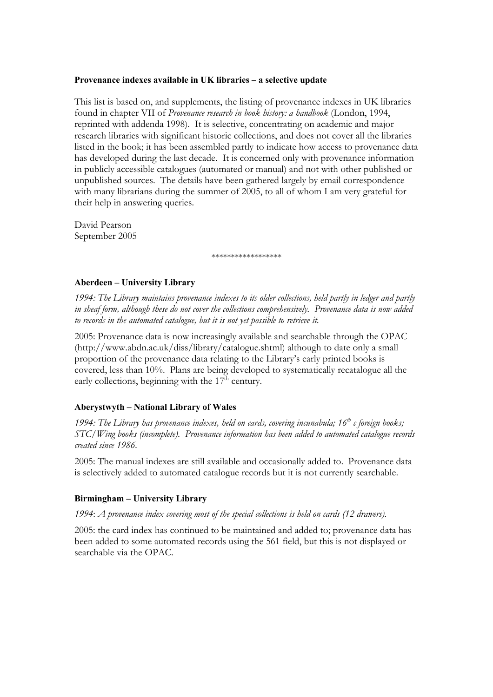#### **Provenance indexes available in UK libraries – a selective update**

This list is based on, and supplements, the listing of provenance indexes in UK libraries found in chapter VII of *Provenance research in book history: a handbook* (London, 1994, reprinted with addenda 1998). It is selective, concentrating on academic and major research libraries with significant historic collections, and does not cover all the libraries listed in the book; it has been assembled partly to indicate how access to provenance data has developed during the last decade. It is concerned only with provenance information in publicly accessible catalogues (automated or manual) and not with other published or unpublished sources. The details have been gathered largely by email correspondence with many librarians during the summer of 2005, to all of whom I am very grateful for their help in answering queries.

David Pearson September 2005

\*\*\*\*\*\*\*\*\*\*\*\*\*\*\*\*\*\*

#### **Aberdeen – University Library**

*1994: The Library maintains provenance indexes to its older collections, held partly in ledger and partly in sheaf form, although these do not cover the collections comprehensively. Provenance data is now added to records in the automated catalogue, but it is not yet possible to retrieve it.*

2005: Provenance data is now increasingly available and searchable through the OPAC (http://www.abdn.ac.uk/diss/library/catalogue.shtml) although to date only a small proportion of the provenance data relating to the Library's early printed books is covered, less than 10%. Plans are being developed to systematically recatalogue all the early collections, beginning with the  $17<sup>th</sup>$  century.

### **Aberystwyth – National Library of Wales**

*1994: The Library has provenance indexes, held on cards, covering incunabula; 16th c foreign books; STC/Wing books (incomplete). Provenance information has been added to automated catalogue records created since 1986.*

2005: The manual indexes are still available and occasionally added to. Provenance data is selectively added to automated catalogue records but it is not currently searchable.

### **Birmingham – University Library**

*1994*: *A provenance index covering most of the special collections is held on cards (12 drawers)*.

2005: the card index has continued to be maintained and added to; provenance data has been added to some automated records using the 561 field, but this is not displayed or searchable via the OPAC.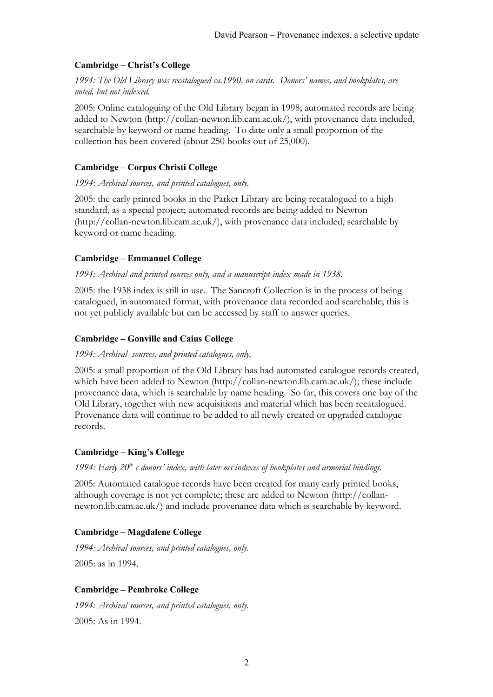## **Cambridge – Christ's College**

*1994: The Old Library was recatalogued ca.1990, on cards. Donors' names, and bookplates, are noted, but not indexed.*

2005: Online cataloguing of the Old Library began in 1998; automated records are being added to Newton (http://collan-newton.lib.cam.ac.uk/), with provenance data included, searchable by keyword or name heading. To date only a small proportion of the collection has been covered (about 250 books out of 25,000).

### **Cambridge – Corpus Christi College**

*1994*: *Archival sources, and printed catalogues, only*.

2005: the early printed books in the Parker Library are being recatalogued to a high standard, as a special project; automated records are being added to Newton (http://collan-newton.lib.cam.ac.uk/), with provenance data included, searchable by keyword or name heading.

## **Cambridge – Emmanuel College**

*1994: Archival and printed sources only, and a manuscript index made in 1938.*

2005: the 1938 index is still in use. The Sancroft Collection is in the process of being catalogued, in automated format, with provenance data recorded and searchable; this is not yet publicly available but can be accessed by staff to answer queries.

### **Cambridge – Gonville and Caius College**

### *1994: Archival sources, and printed catalogues, only.*

2005: a small proportion of the Old Library has had automated catalogue records created, which have been added to Newton (http://collan-newton.lib.cam.ac.uk/); these include provenance data, which is searchable by name heading. So far, this covers one bay of the Old Library, together with new acquisitions and material which has been recatalogued. Provenance data will continue to be added to all newly created or upgraded catalogue records.

### **Cambridge – King's College**

*1994: Early 20th c donors' index, with later ms indexes of bookplates and armorial bindings.*

2005: Automated catalogue records have been created for many early printed books, although coverage is not yet complete; these are added to Newton (http://collannewton.lib.cam.ac.uk/) and include provenance data which is searchable by keyword.

### **Cambridge – Magdalene College**

*1994: Archival sources, and printed catalogues, only.* 2005: as in 1994.

### **Cambridge – Pembroke College**

*1994: Archival sources, and printed catalogues, only.* 2005: As in 1994.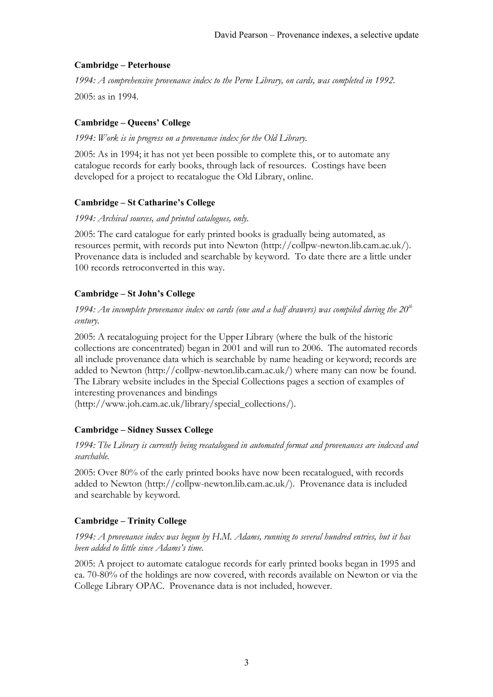## **Cambridge – Peterhouse**

*1994: A comprehensive provenance index to the Perne Library, on cards, was completed in 1992.* 2005: as in 1994.

## **Cambridge – Queens' College**

*1994: Work is in progress on a provenance index for the Old Library.*

2005: As in 1994; it has not yet been possible to complete this, or to automate any catalogue records for early books, through lack of resources. Costings have been developed for a project to recatalogue the Old Library, online.

### **Cambridge – St Catharine's College**

*1994: Archival sources, and printed catalogues, only.*

2005: The card catalogue for early printed books is gradually being automated, as resources permit, with records put into Newton (http://collpw-newton.lib.cam.ac.uk/). Provenance data is included and searchable by keyword. To date there are a little under 100 records retroconverted in this way.

## **Cambridge – St John's College**

*1994: An incomplete provenance index on cards (one and a half drawers) was compiled during the 20th century.*

2005: A recataloguing project for the Upper Library (where the bulk of the historic collections are concentrated) began in 2001 and will run to 2006. The automated records all include provenance data which is searchable by name heading or keyword; records are added to Newton (http://collpw-newton.lib.cam.ac.uk/) where many can now be found. The Library website includes in the Special Collections pages a section of examples of interesting provenances and bindings

(http://www.joh.cam.ac.uk/library/special\_collections/).

# **Cambridge – Sidney Sussex College**

*1994: The Library is currently being recatalogued in automated format and provenances are indexed and searchable.*

2005: Over 80% of the early printed books have now been recatalogued, with records added to Newton (http://collpw-newton.lib.cam.ac.uk/). Provenance data is included and searchable by keyword.

# **Cambridge – Trinity College**

*1994: A provenance index was begun by H.M. Adams, running to several hundred entries, but it has been added to little since Adams's time.*

2005: A project to automate catalogue records for early printed books began in 1995 and ca. 70-80% of the holdings are now covered, with records available on Newton or via the College Library OPAC. Provenance data is not included, however.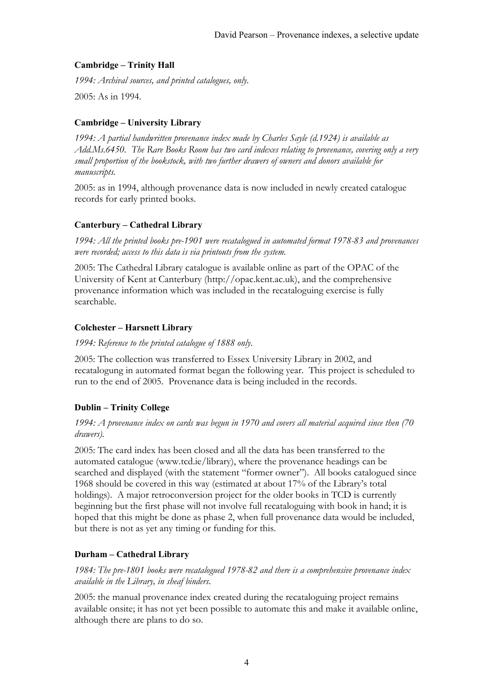# **Cambridge – Trinity Hall**

*1994: Archival sources, and printed catalogues, only.*

2005: As in 1994.

## **Cambridge – University Library**

*1994: A partial handwritten provenance index made by Charles Sayle (d.1924) is available as Add.Ms.6450. The Rare Books Room has two card indexes relating to provenance, covering only a very small proportion of the bookstock, with two further drawers of owners and donors available for manuscripts.* 

2005: as in 1994, although provenance data is now included in newly created catalogue records for early printed books.

### **Canterbury – Cathedral Library**

*1994: All the printed books pre-1901 were recatalogued in automated format 1978-83 and provenances were recorded; access to this data is via printouts from the system.*

2005: The Cathedral Library catalogue is available online as part of the OPAC of the University of Kent at Canterbury (http://opac.kent.ac.uk), and the comprehensive provenance information which was included in the recataloguing exercise is fully searchable.

## **Colchester – Harsnett Library**

### *1994: Reference to the printed catalogue of 1888 only*.

2005: The collection was transferred to Essex University Library in 2002, and recatalogung in automated format began the following year. This project is scheduled to run to the end of 2005. Provenance data is being included in the records.

### **Dublin – Trinity College**

*1994: A provenance index on cards was begun in 1970 and covers all material acquired since then (70 drawers).*

2005: The card index has been closed and all the data has been transferred to the automated catalogue (www.tcd.ie/library), where the provenance headings can be searched and displayed (with the statement "former owner"). All books catalogued since 1968 should be covered in this way (estimated at about 17% of the Library's total holdings). A major retroconversion project for the older books in TCD is currently beginning but the first phase will not involve full recataloguing with book in hand; it is hoped that this might be done as phase 2, when full provenance data would be included, but there is not as yet any timing or funding for this.

### **Durham – Cathedral Library**

*1984: The pre-1801 books were recatalogued 1978-82 and there is a comprehensive provenance index available in the Library, in sheaf binders*.

2005: the manual provenance index created during the recataloguing project remains available onsite; it has not yet been possible to automate this and make it available online, although there are plans to do so.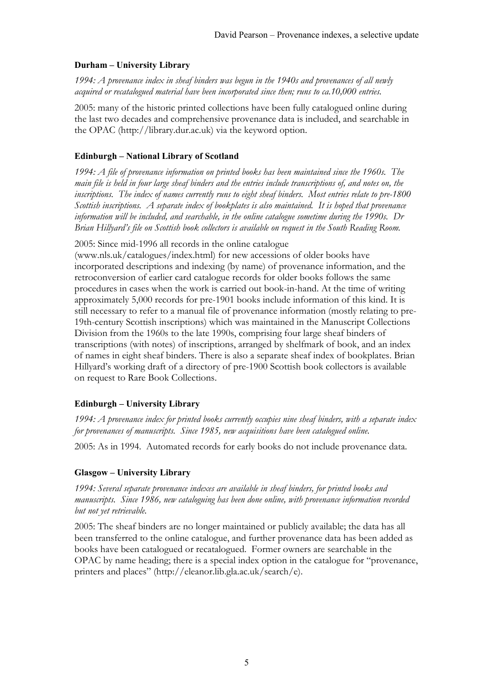## **Durham – University Library**

*1994: A provenance index in sheaf binders was begun in the 1940s and provenances of all newly acquired or recatalogued material have been incorporated since then; runs to ca.10,000 entries.*

2005: many of the historic printed collections have been fully catalogued online during the last two decades and comprehensive provenance data is included, and searchable in the OPAC (http://library.dur.ac.uk) via the keyword option.

### **Edinburgh – National Library of Scotland**

*1994: A file of provenance information on printed books has been maintained since the 1960s. The main file is held in four large sheaf binders and the entries include transcriptions of, and notes on, the inscriptions. The index of names currently runs to eight sheaf binders. Most entries relate to pre-1800 Scottish inscriptions. A separate index of bookplates is also maintained. It is hoped that provenance information will be included, and searchable, in the online catalogue sometime during the 1990s. Dr Brian Hillyard's file on Scottish book collectors is available on request in the South Reading Room.*

2005: Since mid-1996 all records in the online catalogue

(www.nls.uk/catalogues/index.html) for new accessions of older books have incorporated descriptions and indexing (by name) of provenance information, and the retroconversion of earlier card catalogue records for older books follows the same procedures in cases when the work is carried out book-in-hand. At the time of writing approximately 5,000 records for pre-1901 books include information of this kind. It is still necessary to refer to a manual file of provenance information (mostly relating to pre-19th-century Scottish inscriptions) which was maintained in the Manuscript Collections Division from the 1960s to the late 1990s, comprising four large sheaf binders of transcriptions (with notes) of inscriptions, arranged by shelfmark of book, and an index of names in eight sheaf binders. There is also a separate sheaf index of bookplates. Brian Hillyard's working draft of a directory of pre-1900 Scottish book collectors is available on request to Rare Book Collections.

### **Edinburgh – University Library**

*1994: A provenance index for printed books currently occupies nine sheaf binders, with a separate index for provenances of manuscripts. Since 1985, new acquisitions have been catalogued online.*

2005: As in 1994. Automated records for early books do not include provenance data.

### **Glasgow – University Library**

*1994: Several separate provenance indexes are available in sheaf binders, for printed books and manuscripts. Since 1986, new cataloguing has been done online, with provenance information recorded but not yet retrievable.*

2005: The sheaf binders are no longer maintained or publicly available; the data has all been transferred to the online catalogue, and further provenance data has been added as books have been catalogued or recatalogued. Former owners are searchable in the OPAC by name heading; there is a special index option in the catalogue for "provenance, printers and places" (http://eleanor.lib.gla.ac.uk/search/e).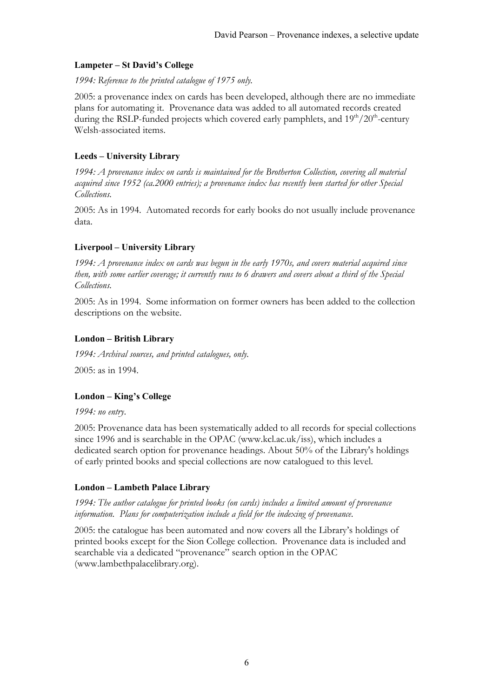### **Lampeter – St David's College**

*1994: Reference to the printed catalogue of 1975 only.*

2005: a provenance index on cards has been developed, although there are no immediate plans for automating it. Provenance data was added to all automated records created during the RSLP-funded projects which covered early pamphlets, and  $19<sup>th</sup>/20<sup>th</sup>$ -century Welsh-associated items.

# **Leeds – University Library**

*1994: A provenance index on cards is maintained for the Brotherton Collection, covering all material acquired since 1952 (ca.2000 entries); a provenance index has recently been started for other Special Collections.*

2005: As in 1994. Automated records for early books do not usually include provenance data.

## **Liverpool – University Library**

*1994: A provenance index on cards was begun in the early 1970s, and covers material acquired since then, with some earlier coverage; it currently runs to 6 drawers and covers about a third of the Special Collections.*

2005: As in 1994. Some information on former owners has been added to the collection descriptions on the website.

### **London – British Library**

*1994: Archival sources, and printed catalogues, only.*

2005: as in 1994.

# **London – King's College**

*1994: no entry*.

2005: Provenance data has been systematically added to all records for special collections since 1996 and is searchable in the OPAC (www.kcl.ac.uk/iss), which includes a dedicated search option for provenance headings. About 50% of the Library's holdings of early printed books and special collections are now catalogued to this level.

### **London – Lambeth Palace Library**

*1994: The author catalogue for printed books (on cards) includes a limited amount of provenance information. Plans for computerization include a field for the indexing of provenance*.

2005: the catalogue has been automated and now covers all the Library's holdings of printed books except for the Sion College collection. Provenance data is included and searchable via a dedicated "provenance" search option in the OPAC (www.lambethpalacelibrary.org).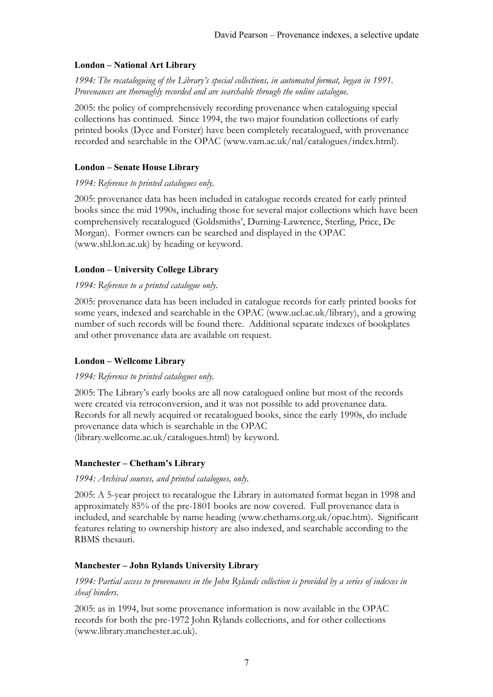## **London – National Art Library**

*1994: The recataloguing of the Library's special collections, in automated format, began in 1991. Provenances are thoroughly recorded and are searchable through the online catalogue.*

2005: the policy of comprehensively recording provenance when cataloguing special collections has continued. Since 1994, the two major foundation collections of early printed books (Dyce and Forster) have been completely recatalogued, with provenance recorded and searchable in the OPAC (www.vam.ac.uk/nal/catalogues/index.html).

# **London – Senate House Library**

### *1994: Reference to printed catalogues only.*

2005: provenance data has been included in catalogue records created for early printed books since the mid 1990s, including those for several major collections which have been comprehensively recatalogued (Goldsmiths', Durning-Lawrence, Sterling, Price, De Morgan). Former owners can be searched and displayed in the OPAC (www.shl.lon.ac.uk) by heading or keyword.

## **London – University College Library**

### *1994: Reference to a printed catalogue only.*

2005: provenance data has been included in catalogue records for early printed books for some years, indexed and searchable in the OPAC (www.ucl.ac.uk/library), and a growing number of such records will be found there. Additional separate indexes of bookplates and other provenance data are available on request.

### **London – Wellcome Library**

### *1994: Reference to printed catalogues only.*

2005: The Library's early books are all now catalogued online but most of the records were created via retroconversion, and it was not possible to add provenance data. Records for all newly acquired or recatalogued books, since the early 1990s, do include provenance data which is searchable in the OPAC (library.wellcome.ac.uk/catalogues.html) by keyword.

### **Manchester – Chetham's Library**

#### *1994: Archival sources, and printed catalogues, only.*

2005: A 5-year project to recatalogue the Library in automated format began in 1998 and approximately 85% of the pre-1801 books are now covered. Full provenance data is included, and searchable by name heading (www.chethams.org.uk/opac.htm). Significant features relating to ownership history are also indexed, and searchable according to the RBMS thesauri.

### **Manchester – John Rylands University Library**

## *1994: Partial access to provenances in the John Rylands collection is provided by a series of indexes in sheaf binders.*

2005: as in 1994, but some provenance information is now available in the OPAC records for both the pre-1972 John Rylands collections, and for other collections (www.library.manchester.ac.uk).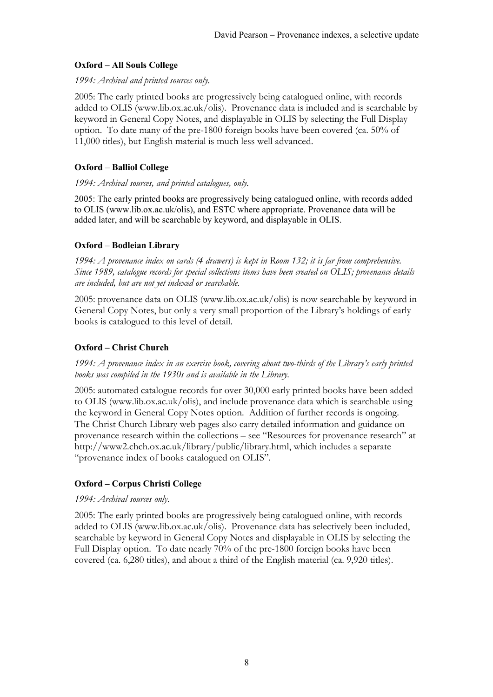## **Oxford – All Souls College**

### *1994: Archival and printed sources only*.

2005: The early printed books are progressively being catalogued online, with records added to OLIS (www.lib.ox.ac.uk/olis). Provenance data is included and is searchable by keyword in General Copy Notes, and displayable in OLIS by selecting the Full Display option. To date many of the pre-1800 foreign books have been covered (ca. 50% of 11,000 titles), but English material is much less well advanced.

# **Oxford – Balliol College**

### *1994: Archival sources, and printed catalogues, only.*

2005: The early printed books are progressively being catalogued online, with records added to OLIS (www.lib.ox.ac.uk/olis), and ESTC where appropriate. Provenance data will be added later, and will be searchable by keyword, and displayable in OLIS.

## **Oxford – Bodleian Library**

*1994: A provenance index on cards (4 drawers) is kept in Room 132; it is far from comprehensive. Since 1989, catalogue records for special collections items have been created on OLIS; provenance details are included, but are not yet indexed or searchable.*

2005: provenance data on OLIS (www.lib.ox.ac.uk/olis) is now searchable by keyword in General Copy Notes, but only a very small proportion of the Library's holdings of early books is catalogued to this level of detail.

# **Oxford – Christ Church**

*1994: A provenance index in an exercise book, covering about two-thirds of the Library's early printed books was compiled in the 1930s and is available in the Library.*

2005: automated catalogue records for over 30,000 early printed books have been added to OLIS (www.lib.ox.ac.uk/olis), and include provenance data which is searchable using the keyword in General Copy Notes option. Addition of further records is ongoing. The Christ Church Library web pages also carry detailed information and guidance on provenance research within the collections – see "Resources for provenance research" at http://www2.chch.ox.ac.uk/library/public/library.html, which includes a separate "provenance index of books catalogued on OLIS".

# **Oxford – Corpus Christi College**

### *1994: Archival sources only*.

2005: The early printed books are progressively being catalogued online, with records added to OLIS (www.lib.ox.ac.uk/olis). Provenance data has selectively been included, searchable by keyword in General Copy Notes and displayable in OLIS by selecting the Full Display option. To date nearly 70% of the pre-1800 foreign books have been covered (ca. 6,280 titles), and about a third of the English material (ca. 9,920 titles).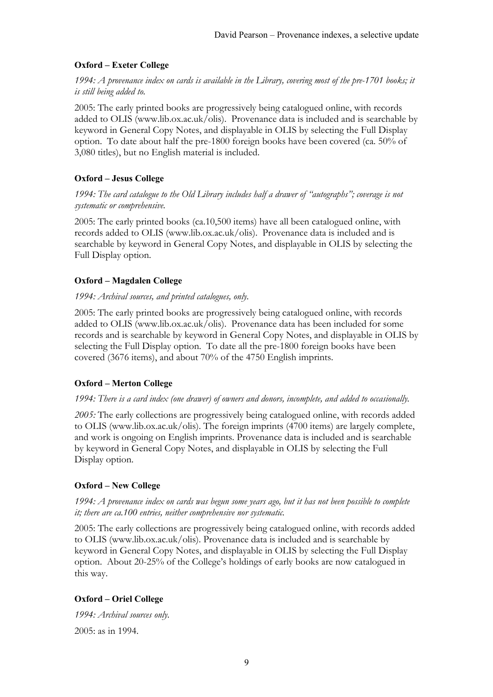## **Oxford – Exeter College**

*1994: A provenance index on cards is available in the Library, covering most of the pre-1701 books; it is still being added to.*

2005: The early printed books are progressively being catalogued online, with records added to OLIS (www.lib.ox.ac.uk/olis). Provenance data is included and is searchable by keyword in General Copy Notes, and displayable in OLIS by selecting the Full Display option. To date about half the pre-1800 foreign books have been covered (ca. 50% of 3,080 titles), but no English material is included.

# **Oxford – Jesus College**

*1994: The card catalogue to the Old Library includes half a drawer of "autographs"; coverage is not systematic or comprehensive.*

2005: The early printed books (ca.10,500 items) have all been catalogued online, with records added to OLIS (www.lib.ox.ac.uk/olis). Provenance data is included and is searchable by keyword in General Copy Notes, and displayable in OLIS by selecting the Full Display option.

## **Oxford – Magdalen College**

## *1994: Archival sources, and printed catalogues, only.*

2005: The early printed books are progressively being catalogued online, with records added to OLIS (www.lib.ox.ac.uk/olis). Provenance data has been included for some records and is searchable by keyword in General Copy Notes, and displayable in OLIS by selecting the Full Display option. To date all the pre-1800 foreign books have been covered (3676 items), and about 70% of the 4750 English imprints.

### **Oxford – Merton College**

### *1994: There is a card index (one drawer) of owners and donors, incomplete, and added to occasionally.*

*2005:* The early collections are progressively being catalogued online, with records added to OLIS (www.lib.ox.ac.uk/olis). The foreign imprints (4700 items) are largely complete, and work is ongoing on English imprints. Provenance data is included and is searchable by keyword in General Copy Notes, and displayable in OLIS by selecting the Full Display option.

### **Oxford – New College**

*1994: A provenance index on cards was begun some years ago, but it has not been possible to complete it; there are ca.100 entries, neither comprehensive nor systematic.*

2005: The early collections are progressively being catalogued online, with records added to OLIS (www.lib.ox.ac.uk/olis). Provenance data is included and is searchable by keyword in General Copy Notes, and displayable in OLIS by selecting the Full Display option. About 20-25% of the College's holdings of early books are now catalogued in this way.

### **Oxford – Oriel College**

*1994: Archival sources only.* 2005: as in 1994.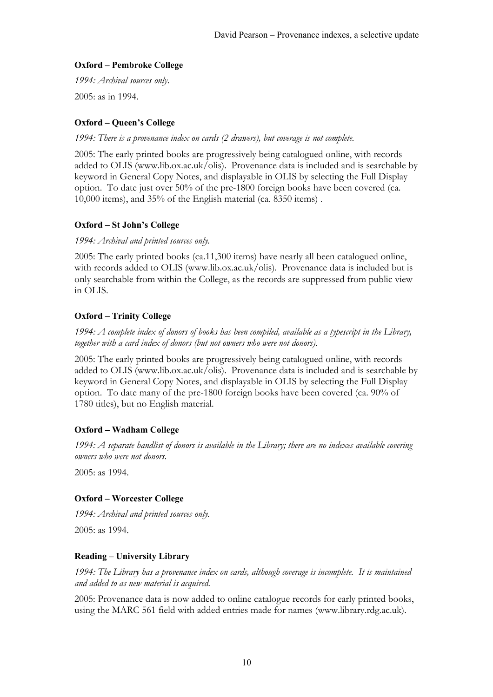# **Oxford – Pembroke College**

*1994: Archival sources only.*

2005: as in 1994.

## **Oxford – Queen's College**

*1994: There is a provenance index on cards (2 drawers), but coverage is not complete.*

2005: The early printed books are progressively being catalogued online, with records added to OLIS (www.lib.ox.ac.uk/olis). Provenance data is included and is searchable by keyword in General Copy Notes, and displayable in OLIS by selecting the Full Display option. To date just over 50% of the pre-1800 foreign books have been covered (ca. 10,000 items), and 35% of the English material (ca. 8350 items) .

## **Oxford – St John's College**

### *1994: Archival and printed sources only.*

2005: The early printed books (ca.11,300 items) have nearly all been catalogued online, with records added to OLIS (www.lib.ox.ac.uk/olis). Provenance data is included but is only searchable from within the College, as the records are suppressed from public view in OLIS.

# **Oxford – Trinity College**

*1994: A complete index of donors of books has been compiled, available as a typescript in the Library, together with a card index of donors (but not owners who were not donors).*

2005: The early printed books are progressively being catalogued online, with records added to OLIS (www.lib.ox.ac.uk/olis). Provenance data is included and is searchable by keyword in General Copy Notes, and displayable in OLIS by selecting the Full Display option. To date many of the pre-1800 foreign books have been covered (ca. 90% of 1780 titles), but no English material.

# **Oxford – Wadham College**

*1994: A separate handlist of donors is available in the Library; there are no indexes available covering owners who were not donors.*

 $2005:$  as 1994.

# **Oxford – Worcester College**

*1994: Archival and printed sources only.*

2005: as 1994.

# **Reading – University Library**

*1994: The Library has a provenance index on cards, although coverage is incomplete. It is maintained and added to as new material is acquired.*

2005: Provenance data is now added to online catalogue records for early printed books, using the MARC 561 field with added entries made for names (www.library.rdg.ac.uk).